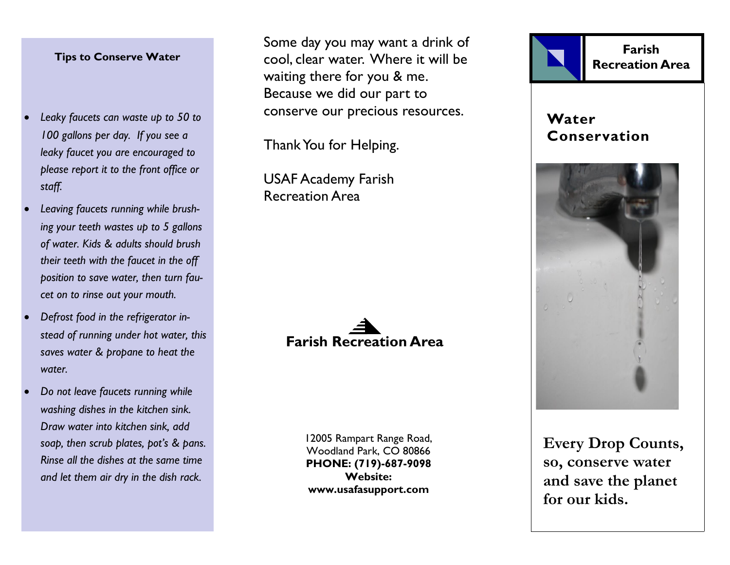## **Tips to Conserve Water**

- *Leaky faucets can waste up to 50 to 100 gallons per day. If you see a leaky faucet you are encouraged to please report it to the front office or staff.*
- *Leaving faucets running while brushing your teeth wastes up to 5 gallons of water. Kids & adults should brush their teeth with the faucet in the off position to save water, then turn faucet on to rinse out your mouth.*
- *Defrost food in the refrigerator instead of running under hot water, this saves water & propane to heat the water.*
- *Do not leave faucets running while washing dishes in the kitchen sink. Draw water into kitchen sink, add soap, then scrub plates, pot's & pans. Rinse all the dishes at the same time and let them air dry in the dish rack.*

Some day you may want a drink of cool, clear water. Where it will be waiting there for you & me. Because we did our part to conserve our precious resources.

Thank You for Helping.

USAF Academy Farish Recreation Area



12005 Rampart Range Road, Woodland Park, CO 80866 **PHONE: (719)-687-9098 Website: www.usafasupport.com**



**Every Drop Counts, so, conserve water and save the planet for our kids.**